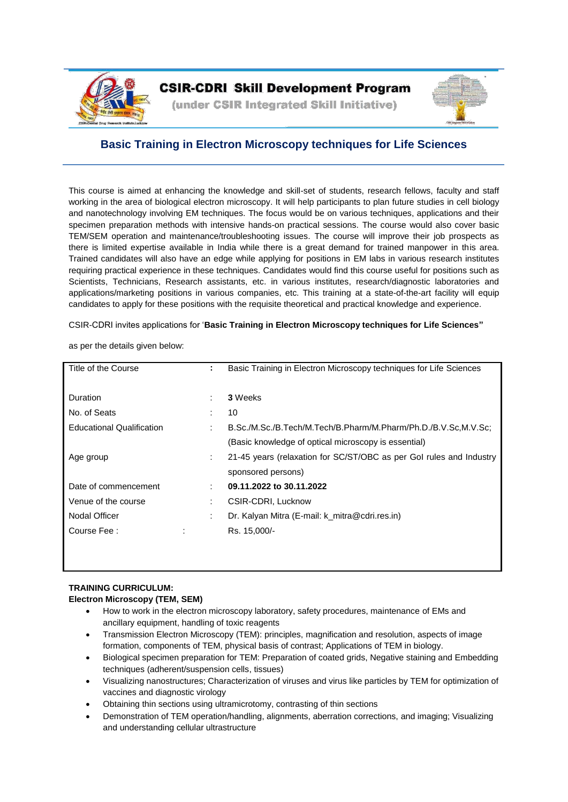

# **CSIR-CDRI Skill Development Program**

(under CSIR Integrated Skill Initiative)



# **Basic Training in Electron Microscopy techniques for Life Sciences**

This course is aimed at enhancing the knowledge and skill-set of students, research fellows, faculty and staff working in the area of biological electron microscopy. It will help participants to plan future studies in cell biology and nanotechnology involving EM techniques. The focus would be on various techniques, applications and their specimen preparation methods with intensive hands-on practical sessions. The course would also cover basic TEM/SEM operation and maintenance/troubleshooting issues. The course will improve their job prospects as there is limited expertise available in India while there is a great demand for trained manpower in this area. Trained candidates will also have an edge while applying for positions in EM labs in various research institutes requiring practical experience in these techniques. Candidates would find this course useful for positions such as Scientists, Technicians, Research assistants, etc. in various institutes, research/diagnostic laboratories and applications/marketing positions in various companies, etc. This training at a state-of-the-art facility will equip candidates to apply for these positions with the requisite theoretical and practical knowledge and experience.

CSIR-CDRI invites applications for '**Basic Training in Electron Microscopy techniques for Life Sciences"**

as per the details given below:

| Title of the Course              | ÷                         | Basic Training in Electron Microscopy techniques for Life Sciences  |
|----------------------------------|---------------------------|---------------------------------------------------------------------|
| <b>Duration</b>                  | ٠                         | 3 Weeks                                                             |
| No. of Seats                     |                           | 10                                                                  |
| <b>Educational Qualification</b> |                           | B.Sc./M.Sc./B.Tech/M.Tech/B.Pharm/M.Pharm/Ph.D./B.V.Sc.M.V.Sc.      |
|                                  |                           | (Basic knowledge of optical microscopy is essential)                |
| Age group                        | $\mathbb{Z}^{\mathbb{Z}}$ | 21-45 years (relaxation for SC/ST/OBC as per Gol rules and Industry |
|                                  |                           | sponsored persons)                                                  |
| Date of commencement             | $\bullet$                 | 09.11.2022 to 30.11.2022                                            |
| Venue of the course              | ÷                         | CSIR-CDRI, Lucknow                                                  |
| Nodal Officer                    | ÷                         | Dr. Kalyan Mitra (E-mail: k_mitra@cdri.res.in)                      |
| Course Fee:                      | Ĭ.                        | Rs. 15,000/-                                                        |
|                                  |                           |                                                                     |

## **TRAINING CURRICULUM: Electron Microscopy (TEM, SEM)**

- How to work in the electron microscopy laboratory, safety procedures, maintenance of EMs and ancillary equipment, handling of toxic reagents
- Transmission Electron Microscopy (TEM): principles, magnification and resolution, aspects of image formation, components of TEM, physical basis of contrast; Applications of TEM in biology.
- Biological specimen preparation for TEM: Preparation of coated grids, Negative staining and Embedding techniques (adherent/suspension cells, tissues)
- Visualizing nanostructures; Characterization of viruses and virus like particles by TEM for optimization of vaccines and diagnostic virology
- Obtaining thin sections using ultramicrotomy, contrasting of thin sections
- Demonstration of TEM operation/handling, alignments, aberration corrections, and imaging; Visualizing and understanding cellular ultrastructure